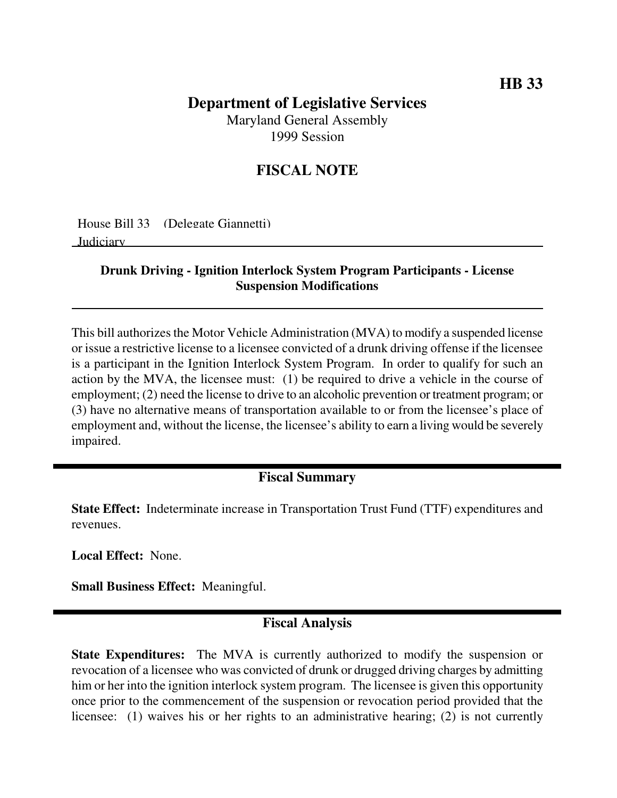# **Department of Legislative Services**

Maryland General Assembly 1999 Session

### **FISCAL NOTE**

House Bill 33 (Delegate Giannetti) Judiciary

#### **Drunk Driving - Ignition Interlock System Program Participants - License Suspension Modifications**

This bill authorizes the Motor Vehicle Administration (MVA) to modify a suspended license or issue a restrictive license to a licensee convicted of a drunk driving offense if the licensee is a participant in the Ignition Interlock System Program. In order to qualify for such an action by the MVA, the licensee must: (1) be required to drive a vehicle in the course of employment; (2) need the license to drive to an alcoholic prevention or treatment program; or (3) have no alternative means of transportation available to or from the licensee's place of employment and, without the license, the licensee's ability to earn a living would be severely impaired.

#### **Fiscal Summary**

**State Effect:** Indeterminate increase in Transportation Trust Fund (TTF) expenditures and revenues.

**Local Effect:** None.

**Small Business Effect:** Meaningful.

## **Fiscal Analysis**

**State Expenditures:** The MVA is currently authorized to modify the suspension or revocation of a licensee who was convicted of drunk or drugged driving charges by admitting him or her into the ignition interlock system program. The licensee is given this opportunity once prior to the commencement of the suspension or revocation period provided that the licensee: (1) waives his or her rights to an administrative hearing; (2) is not currently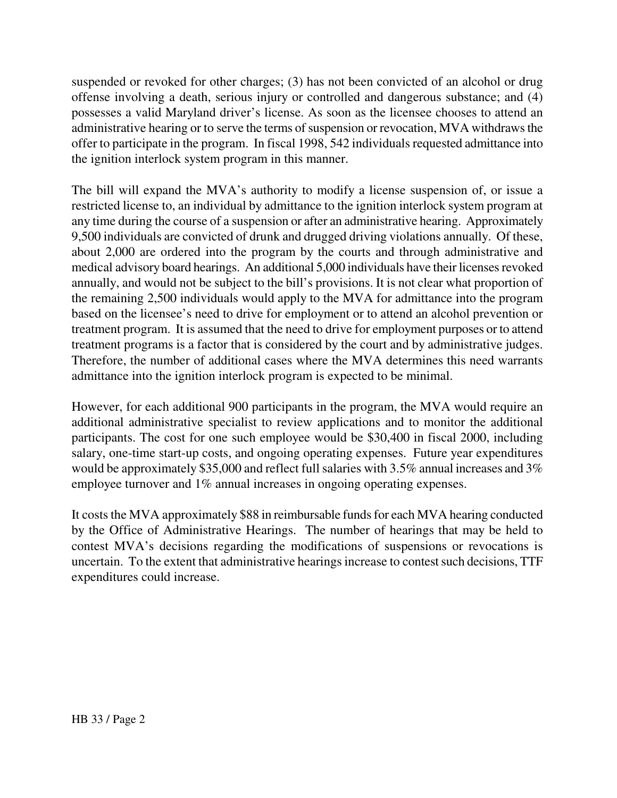suspended or revoked for other charges; (3) has not been convicted of an alcohol or drug offense involving a death, serious injury or controlled and dangerous substance; and (4) possesses a valid Maryland driver's license. As soon as the licensee chooses to attend an administrative hearing or to serve the terms of suspension or revocation, MVA withdraws the offer to participate in the program. In fiscal 1998, 542 individuals requested admittance into the ignition interlock system program in this manner.

The bill will expand the MVA's authority to modify a license suspension of, or issue a restricted license to, an individual by admittance to the ignition interlock system program at any time during the course of a suspension or after an administrative hearing. Approximately 9,500 individuals are convicted of drunk and drugged driving violations annually. Of these, about 2,000 are ordered into the program by the courts and through administrative and medical advisory board hearings. An additional 5,000 individuals have their licenses revoked annually, and would not be subject to the bill's provisions. It is not clear what proportion of the remaining 2,500 individuals would apply to the MVA for admittance into the program based on the licensee's need to drive for employment or to attend an alcohol prevention or treatment program. It is assumed that the need to drive for employment purposes or to attend treatment programs is a factor that is considered by the court and by administrative judges. Therefore, the number of additional cases where the MVA determines this need warrants admittance into the ignition interlock program is expected to be minimal.

However, for each additional 900 participants in the program, the MVA would require an additional administrative specialist to review applications and to monitor the additional participants. The cost for one such employee would be \$30,400 in fiscal 2000, including salary, one-time start-up costs, and ongoing operating expenses. Future year expenditures would be approximately \$35,000 and reflect full salaries with 3.5% annual increases and 3% employee turnover and 1% annual increases in ongoing operating expenses.

It costs the MVA approximately \$88 in reimbursable funds for each MVA hearing conducted by the Office of Administrative Hearings. The number of hearings that may be held to contest MVA's decisions regarding the modifications of suspensions or revocations is uncertain. To the extent that administrative hearings increase to contest such decisions, TTF expenditures could increase.